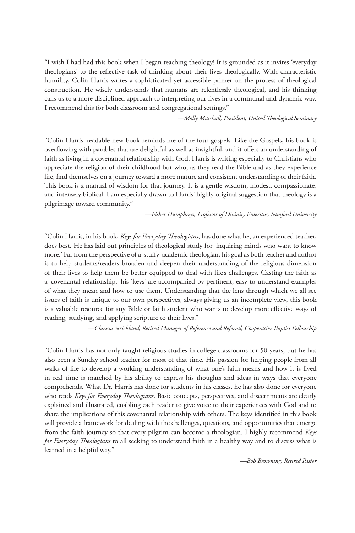"I wish I had had this book when I began teaching theology! It is grounded as it invites 'everyday theologians' to the reflective task of thinking about their lives theologically. With characteristic humility, Colin Harris writes a sophisticated yet accessible primer on the process of theological construction. He wisely understands that humans are relentlessly theological, and his thinking calls us to a more disciplined approach to interpreting our lives in a communal and dynamic way. I recommend this for both classroom and congregational settings."

*—Molly Marshall, President, United Theological Seminary*

"Colin Harris' readable new book reminds me of the four gospels. Like the Gospels, his book is overflowing with parables that are delightful as well as insightful, and it offers an understanding of faith as living in a covenantal relationship with God. Harris is writing especially to Christians who appreciate the religion of their childhood but who, as they read the Bible and as they experience life, find themselves on a journey toward a more mature and consistent understanding of their faith. This book is a manual of wisdom for that journey. It is a gentle wisdom, modest, compassionate, and intensely biblical. I am especially drawn to Harris' highly original suggestion that theology is a pilgrimage toward community."

*—Fisher Humphreys, Professor of Divinity Emeritus, Samford University*

"Colin Harris, in his book, *Keys for Everyday Theologians*, has done what he, an experienced teacher, does best. He has laid out principles of theological study for 'inquiring minds who want to know more.' Far from the perspective of a 'stuffy' academic theologian, his goal as both teacher and author is to help students/readers broaden and deepen their understanding of the religious dimension of their lives to help them be better equipped to deal with life's challenges. Casting the faith as a 'covenantal relationship,' his 'keys' are accompanied by pertinent, easy-to-understand examples of what they mean and how to use them. Understanding that the lens through which we all see issues of faith is unique to our own perspectives, always giving us an incomplete view, this book is a valuable resource for any Bible or faith student who wants to develop more effective ways of reading, studying, and applying scripture to their lives."

*—Clarissa Strickland, Retired Manager of Reference and Referral, Cooperative Baptist Fellowship*

"Colin Harris has not only taught religious studies in college classrooms for 50 years, but he has also been a Sunday school teacher for most of that time. His passion for helping people from all walks of life to develop a working understanding of what one's faith means and how it is lived in real time is matched by his ability to express his thoughts and ideas in ways that everyone comprehends. What Dr. Harris has done for students in his classes, he has also done for everyone who reads *Keys for Everyday Theologians*. Basic concepts, perspectives, and discernments are clearly explained and illustrated, enabling each reader to give voice to their experiences with God and to share the implications of this covenantal relationship with others. The keys identified in this book will provide a framework for dealing with the challenges, questions, and opportunities that emerge from the faith journey so that every pilgrim can become a theologian. I highly recommend *Keys for Everyday Theologians* to all seeking to understand faith in a healthy way and to discuss what is learned in a helpful way."

*—Bob Browning, Retired Pastor*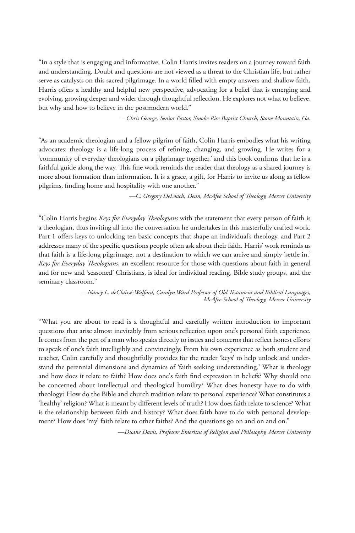"In a style that is engaging and informative, Colin Harris invites readers on a journey toward faith and understanding. Doubt and questions are not viewed as a threat to the Christian life, but rather serve as catalysts on this sacred pilgrimage. In a world filled with empty answers and shallow faith, Harris offers a healthy and helpful new perspective, advocating for a belief that is emerging and evolving, growing deeper and wider through thoughtful reflection. He explores not what to believe, but why and how to believe in the postmodern world."

*—Chris George, Senior Pastor, Smoke Rise Baptist Church, Stone Mountain, Ga.*

"As an academic theologian and a fellow pilgrim of faith, Colin Harris embodies what his writing advocates: theology is a life-long process of refining, changing, and growing. He writes for a 'community of everyday theologians on a pilgrimage together,' and this book confirms that he is a faithful guide along the way. This fine work reminds the reader that theology as a shared journey is more about formation than information. It is a grace, a gift, for Harris to invite us along as fellow pilgrims, finding home and hospitality with one another."

*—C. Gregory DeLoach, Dean, McAfee School of Theology, Mercer University*

"Colin Harris begins *Keys for Everyday Theologians* with the statement that every person of faith is a theologian, thus inviting all into the conversation he undertakes in this masterfully crafted work. Part 1 offers keys to unlocking ten basic concepts that shape an individual's theology, and Part 2 addresses many of the specific questions people often ask about their faith. Harris' work reminds us that faith is a life-long pilgrimage, not a destination to which we can arrive and simply 'settle in.' *Keys for Everyday Theologians*, an excellent resource for those with questions about faith in general and for new and 'seasoned' Christians, is ideal for individual reading, Bible study groups, and the seminary classroom."

> *—Nancy L. deClaissé-Walford, Carolyn Ward Professor of Old Testament and Biblical Languages, McAfee School of Theology, Mercer University*

"What you are about to read is a thoughtful and carefully written introduction to important questions that arise almost inevitably from serious reflection upon one's personal faith experience. It comes from the pen of a man who speaks directly to issues and concerns that reflect honest efforts to speak of one's faith intelligibly and convincingly. From his own experience as both student and teacher, Colin carefully and thoughtfully provides for the reader 'keys' to help unlock and understand the perennial dimensions and dynamics of 'faith seeking understanding.' What is theology and how does it relate to faith? How does one's faith find expression in beliefs? Why should one be concerned about intellectual and theological humility? What does honesty have to do with theology? How do the Bible and church tradition relate to personal experience? What constitutes a 'healthy' religion? What is meant by different levels of truth? How does faith relate to science? What is the relationship between faith and history? What does faith have to do with personal development? How does 'my' faith relate to other faiths? And the questions go on and on and on."

*—Duane Davis, Professor Emeritus of Religion and Philosophy, Mercer University*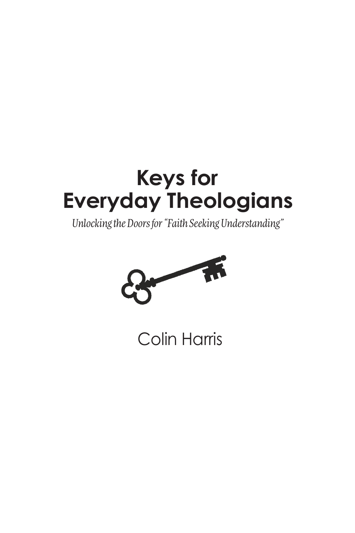## **Everyday Theologians Keys for**

*Unlocking the Doors for "Faith Seeking Understanding"*



Colin Harris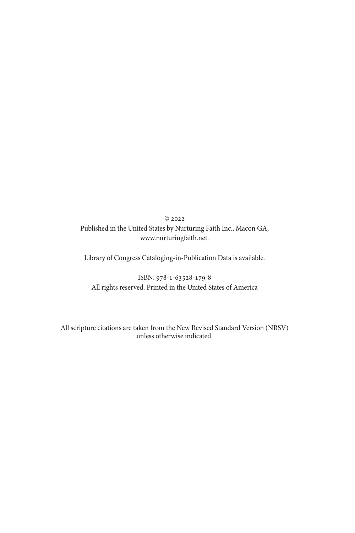© 2022 Published in the United States by Nurturing Faith Inc., Macon GA, www.nurturingfaith.net.

Library of Congress Cataloging-in-Publication Data is available.

ISBN: 978-1-63528-179-8 All rights reserved. Printed in the United States of America

All scripture citations are taken from the New Revised Standard Version (NRSV) unless otherwise indicated.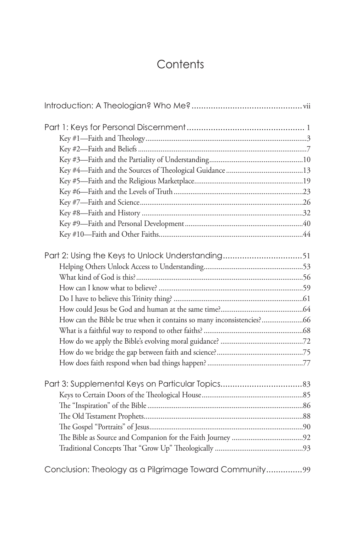## **Contents**

| Part 2: Using the Keys to Unlock Understanding51        |
|---------------------------------------------------------|
|                                                         |
|                                                         |
|                                                         |
|                                                         |
|                                                         |
|                                                         |
|                                                         |
|                                                         |
|                                                         |
|                                                         |
|                                                         |
|                                                         |
|                                                         |
|                                                         |
|                                                         |
|                                                         |
|                                                         |
| Conclusion: Theology as a Pilgrimage Toward Community99 |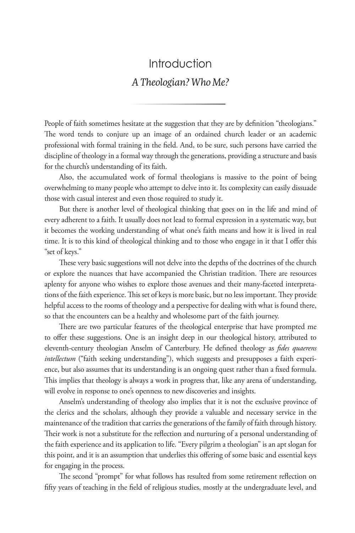## **Introduction** *A Theologian? Who Me?*

People of faith sometimes hesitate at the suggestion that they are by definition "theologians." The word tends to conjure up an image of an ordained church leader or an academic professional with formal training in the field. And, to be sure, such persons have carried the discipline of theology in a formal way through the generations, providing a structure and basis for the church's understanding of its faith.

Also, the accumulated work of formal theologians is massive to the point of being overwhelming to many people who attempt to delve into it. Its complexity can easily dissuade those with casual interest and even those required to study it.

But there is another level of theological thinking that goes on in the life and mind of every adherent to a faith. It usually does not lead to formal expression in a systematic way, but it becomes the working understanding of what one's faith means and how it is lived in real time. It is to this kind of theological thinking and to those who engage in it that I offer this "set of keys."

These very basic suggestions will not delve into the depths of the doctrines of the church or explore the nuances that have accompanied the Christian tradition. There are resources aplenty for anyone who wishes to explore those avenues and their many-faceted interpretations of the faith experience. This set of keys is more basic, but no less important. They provide helpful access to the rooms of theology and a perspective for dealing with what is found there, so that the encounters can be a healthy and wholesome part of the faith journey.

There are two particular features of the theological enterprise that have prompted me to offer these suggestions. One is an insight deep in our theological history, attributed to eleventh-century theologian Anselm of Canterbury. He defined theology as *fides quaerens intellectum* ("faith seeking understanding"), which suggests and presupposes a faith experience, but also assumes that its understanding is an ongoing quest rather than a fixed formula. This implies that theology is always a work in progress that, like any arena of understanding, will evolve in response to one's openness to new discoveries and insights.

Anselm's understanding of theology also implies that it is not the exclusive province of the clerics and the scholars, although they provide a valuable and necessary service in the maintenance of the tradition that carries the generations of the family of faith through history. Their work is not a substitute for the reflection and nurturing of a personal understanding of the faith experience and its application to life. "Every pilgrim a theologian" is an apt slogan for this point, and it is an assumption that underlies this offering of some basic and essential keys for engaging in the process.

The second "prompt" for what follows has resulted from some retirement reflection on fifty years of teaching in the field of religious studies, mostly at the undergraduate level, and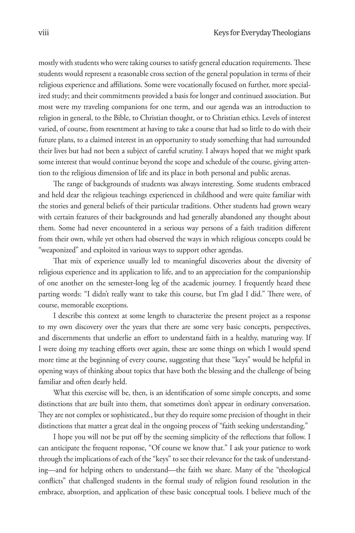mostly with students who were taking courses to satisfy general education requirements. These students would represent a reasonable cross section of the general population in terms of their religious experience and affiliations. Some were vocationally focused on further, more specialized study; and their commitments provided a basis for longer and continued association. But most were my traveling companions for one term, and our agenda was an introduction to religion in general, to the Bible, to Christian thought, or to Christian ethics. Levels of interest varied, of course, from resentment at having to take a course that had so little to do with their future plans, to a claimed interest in an opportunity to study something that had surrounded their lives but had not been a subject of careful scrutiny. I always hoped that we might spark some interest that would continue beyond the scope and schedule of the course, giving attention to the religious dimension of life and its place in both personal and public arenas.

The range of backgrounds of students was always interesting. Some students embraced and held dear the religious teachings experienced in childhood and were quite familiar with the stories and general beliefs of their particular traditions. Other students had grown weary with certain features of their backgrounds and had generally abandoned any thought about them. Some had never encountered in a serious way persons of a faith tradition different from their own, while yet others had observed the ways in which religious concepts could be "weaponized" and exploited in various ways to support other agendas.

That mix of experience usually led to meaningful discoveries about the diversity of religious experience and its application to life, and to an appreciation for the companionship of one another on the semester-long leg of the academic journey. I frequently heard these parting words: "I didn't really want to take this course, but I'm glad I did." There were, of course, memorable exceptions.

I describe this context at some length to characterize the present project as a response to my own discovery over the years that there are some very basic concepts, perspectives, and discernments that underlie an effort to understand faith in a healthy, maturing way. If I were doing my teaching efforts over again, these are some things on which I would spend more time at the beginning of every course, suggesting that these "keys" would be helpful in opening ways of thinking about topics that have both the blessing and the challenge of being familiar and often dearly held.

What this exercise will be, then, is an identification of some simple concepts, and some distinctions that are built into them, that sometimes don't appear in ordinary conversation. They are not complex or sophisticated., but they do require some precision of thought in their distinctions that matter a great deal in the ongoing process of "faith seeking understanding."

I hope you will not be put off by the seeming simplicity of the reflections that follow. I can anticipate the frequent response, "Of course we know that." I ask your patience to work through the implications of each of the "keys" to see their relevance for the task of understanding—and for helping others to understand—the faith we share. Many of the "theological conflicts" that challenged students in the formal study of religion found resolution in the embrace, absorption, and application of these basic conceptual tools. I believe much of the